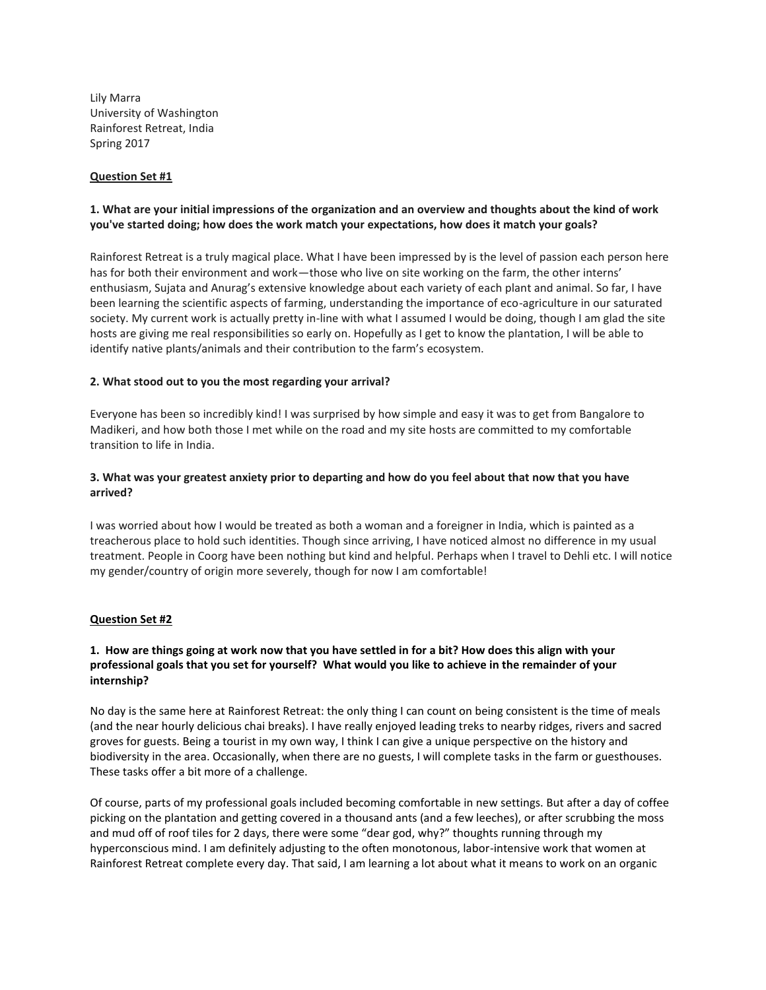Lily Marra University of Washington Rainforest Retreat, India Spring 2017

#### **Question Set #1**

# **1. What are your initial impressions of the organization and an overview and thoughts about the kind of work you've started doing; how does the work match your expectations, how does it match your goals?**

Rainforest Retreat is a truly magical place. What I have been impressed by is the level of passion each person here has for both their environment and work—those who live on site working on the farm, the other interns' enthusiasm, Sujata and Anurag's extensive knowledge about each variety of each plant and animal. So far, I have been learning the scientific aspects of farming, understanding the importance of eco-agriculture in our saturated society. My current work is actually pretty in-line with what I assumed I would be doing, though I am glad the site hosts are giving me real responsibilities so early on. Hopefully as I get to know the plantation, I will be able to identify native plants/animals and their contribution to the farm's ecosystem.

#### **2. What stood out to you the most regarding your arrival?**

Everyone has been so incredibly kind! I was surprised by how simple and easy it was to get from Bangalore to Madikeri, and how both those I met while on the road and my site hosts are committed to my comfortable transition to life in India.

# **3. What was your greatest anxiety prior to departing and how do you feel about that now that you have arrived?**

I was worried about how I would be treated as both a woman and a foreigner in India, which is painted as a treacherous place to hold such identities. Though since arriving, I have noticed almost no difference in my usual treatment. People in Coorg have been nothing but kind and helpful. Perhaps when I travel to Dehli etc. I will notice my gender/country of origin more severely, though for now I am comfortable!

#### **Question Set #2**

## **1. How are things going at work now that you have settled in for a bit? How does this align with your professional goals that you set for yourself? What would you like to achieve in the remainder of your internship?**

No day is the same here at Rainforest Retreat: the only thing I can count on being consistent is the time of meals (and the near hourly delicious chai breaks). I have really enjoyed leading treks to nearby ridges, rivers and sacred groves for guests. Being a tourist in my own way, I think I can give a unique perspective on the history and biodiversity in the area. Occasionally, when there are no guests, I will complete tasks in the farm or guesthouses. These tasks offer a bit more of a challenge.

Of course, parts of my professional goals included becoming comfortable in new settings. But after a day of coffee picking on the plantation and getting covered in a thousand ants (and a few leeches), or after scrubbing the moss and mud off of roof tiles for 2 days, there were some "dear god, why?" thoughts running through my hyperconscious mind. I am definitely adjusting to the often monotonous, labor-intensive work that women at Rainforest Retreat complete every day. That said, I am learning a lot about what it means to work on an organic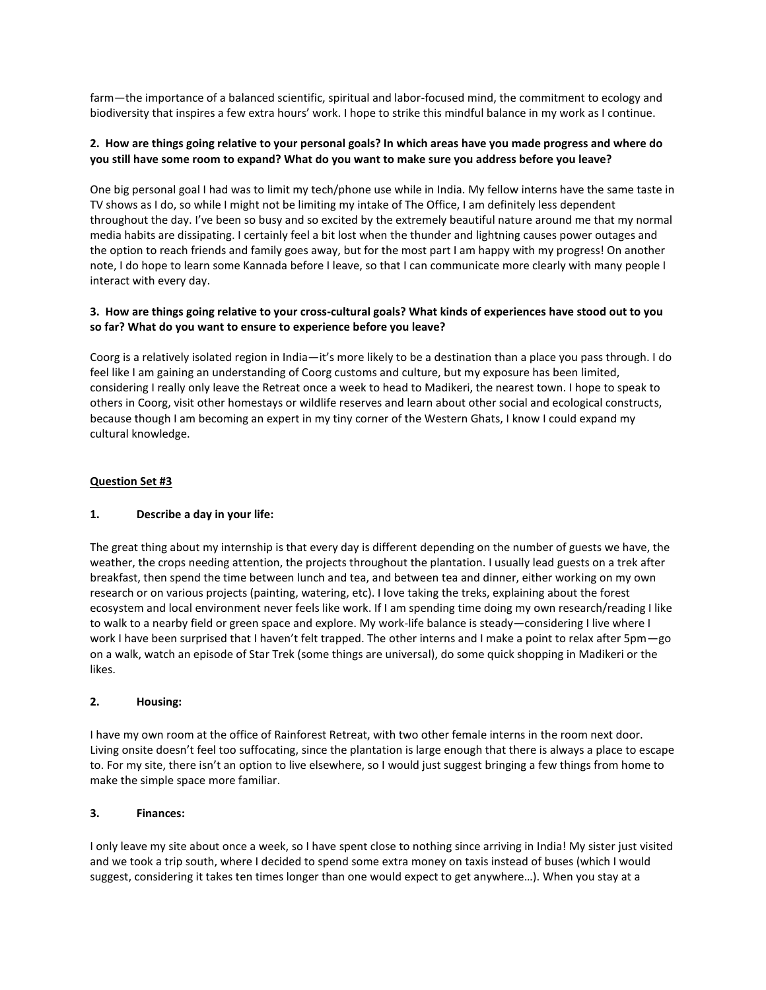farm—the importance of a balanced scientific, spiritual and labor-focused mind, the commitment to ecology and biodiversity that inspires a few extra hours' work. I hope to strike this mindful balance in my work as I continue.

## **2. How are things going relative to your personal goals? In which areas have you made progress and where do you still have some room to expand? What do you want to make sure you address before you leave?**

One big personal goal I had was to limit my tech/phone use while in India. My fellow interns have the same taste in TV shows as I do, so while I might not be limiting my intake of The Office, I am definitely less dependent throughout the day. I've been so busy and so excited by the extremely beautiful nature around me that my normal media habits are dissipating. I certainly feel a bit lost when the thunder and lightning causes power outages and the option to reach friends and family goes away, but for the most part I am happy with my progress! On another note, I do hope to learn some Kannada before I leave, so that I can communicate more clearly with many people I interact with every day.

# **3. How are things going relative to your cross-cultural goals? What kinds of experiences have stood out to you so far? What do you want to ensure to experience before you leave?**

Coorg is a relatively isolated region in India—it's more likely to be a destination than a place you pass through. I do feel like I am gaining an understanding of Coorg customs and culture, but my exposure has been limited, considering I really only leave the Retreat once a week to head to Madikeri, the nearest town. I hope to speak to others in Coorg, visit other homestays or wildlife reserves and learn about other social and ecological constructs, because though I am becoming an expert in my tiny corner of the Western Ghats, I know I could expand my cultural knowledge.

## **Question Set #3**

## **1. Describe a day in your life:**

The great thing about my internship is that every day is different depending on the number of guests we have, the weather, the crops needing attention, the projects throughout the plantation. I usually lead guests on a trek after breakfast, then spend the time between lunch and tea, and between tea and dinner, either working on my own research or on various projects (painting, watering, etc). I love taking the treks, explaining about the forest ecosystem and local environment never feels like work. If I am spending time doing my own research/reading I like to walk to a nearby field or green space and explore. My work-life balance is steady—considering I live where I work I have been surprised that I haven't felt trapped. The other interns and I make a point to relax after 5pm-go on a walk, watch an episode of Star Trek (some things are universal), do some quick shopping in Madikeri or the likes.

## **2. Housing:**

I have my own room at the office of Rainforest Retreat, with two other female interns in the room next door. Living onsite doesn't feel too suffocating, since the plantation is large enough that there is always a place to escape to. For my site, there isn't an option to live elsewhere, so I would just suggest bringing a few things from home to make the simple space more familiar.

## **3. Finances:**

I only leave my site about once a week, so I have spent close to nothing since arriving in India! My sister just visited and we took a trip south, where I decided to spend some extra money on taxis instead of buses (which I would suggest, considering it takes ten times longer than one would expect to get anywhere…). When you stay at a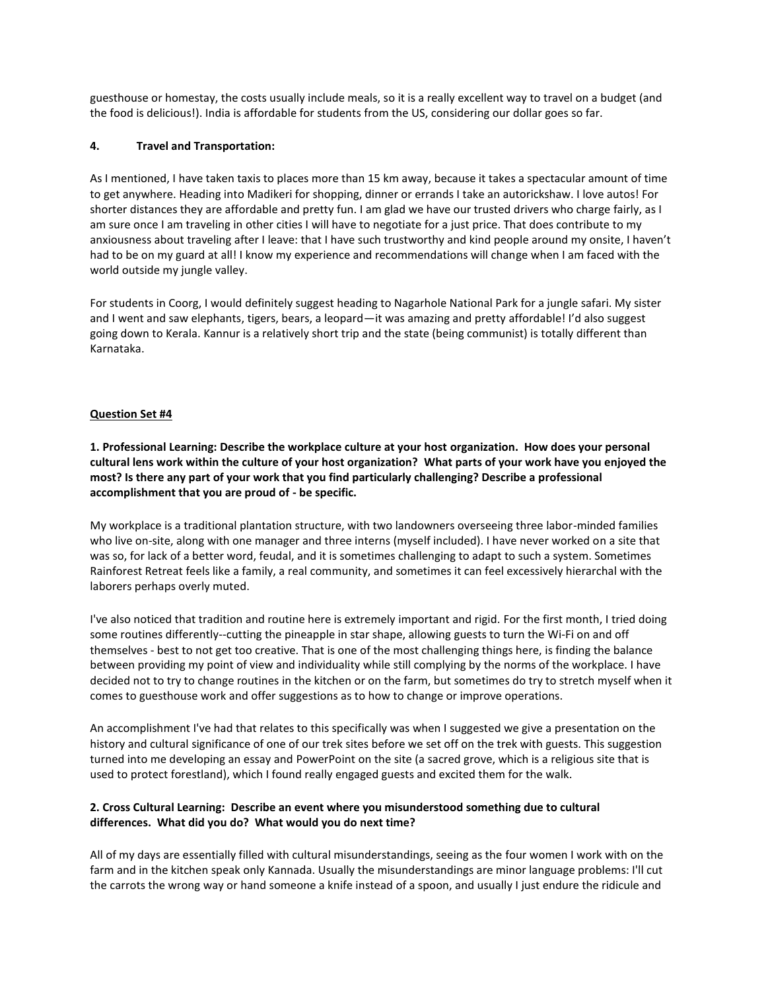guesthouse or homestay, the costs usually include meals, so it is a really excellent way to travel on a budget (and the food is delicious!). India is affordable for students from the US, considering our dollar goes so far.

### **4. Travel and Transportation:**

As I mentioned, I have taken taxis to places more than 15 km away, because it takes a spectacular amount of time to get anywhere. Heading into Madikeri for shopping, dinner or errands I take an autorickshaw. I love autos! For shorter distances they are affordable and pretty fun. I am glad we have our trusted drivers who charge fairly, as I am sure once I am traveling in other cities I will have to negotiate for a just price. That does contribute to my anxiousness about traveling after I leave: that I have such trustworthy and kind people around my onsite, I haven't had to be on my guard at all! I know my experience and recommendations will change when I am faced with the world outside my jungle valley.

For students in Coorg, I would definitely suggest heading to Nagarhole National Park for a jungle safari. My sister and I went and saw elephants, tigers, bears, a leopard—it was amazing and pretty affordable! I'd also suggest going down to Kerala. Kannur is a relatively short trip and the state (being communist) is totally different than Karnataka.

#### **Question Set #4**

**1. Professional Learning: Describe the workplace culture at your host organization. How does your personal cultural lens work within the culture of your host organization? What parts of your work have you enjoyed the most? Is there any part of your work that you find particularly challenging? Describe a professional accomplishment that you are proud of - be specific.**

My workplace is a traditional plantation structure, with two landowners overseeing three labor-minded families who live on-site, along with one manager and three interns (myself included). I have never worked on a site that was so, for lack of a better word, feudal, and it is sometimes challenging to adapt to such a system. Sometimes Rainforest Retreat feels like a family, a real community, and sometimes it can feel excessively hierarchal with the laborers perhaps overly muted.

I've also noticed that tradition and routine here is extremely important and rigid. For the first month, I tried doing some routines differently--cutting the pineapple in star shape, allowing guests to turn the Wi-Fi on and off themselves - best to not get too creative. That is one of the most challenging things here, is finding the balance between providing my point of view and individuality while still complying by the norms of the workplace. I have decided not to try to change routines in the kitchen or on the farm, but sometimes do try to stretch myself when it comes to guesthouse work and offer suggestions as to how to change or improve operations.

An accomplishment I've had that relates to this specifically was when I suggested we give a presentation on the history and cultural significance of one of our trek sites before we set off on the trek with guests. This suggestion turned into me developing an essay and PowerPoint on the site (a sacred grove, which is a religious site that is used to protect forestland), which I found really engaged guests and excited them for the walk.

## **2. Cross Cultural Learning: Describe an event where you misunderstood something due to cultural differences. What did you do? What would you do next time?**

All of my days are essentially filled with cultural misunderstandings, seeing as the four women I work with on the farm and in the kitchen speak only Kannada. Usually the misunderstandings are minor language problems: I'll cut the carrots the wrong way or hand someone a knife instead of a spoon, and usually I just endure the ridicule and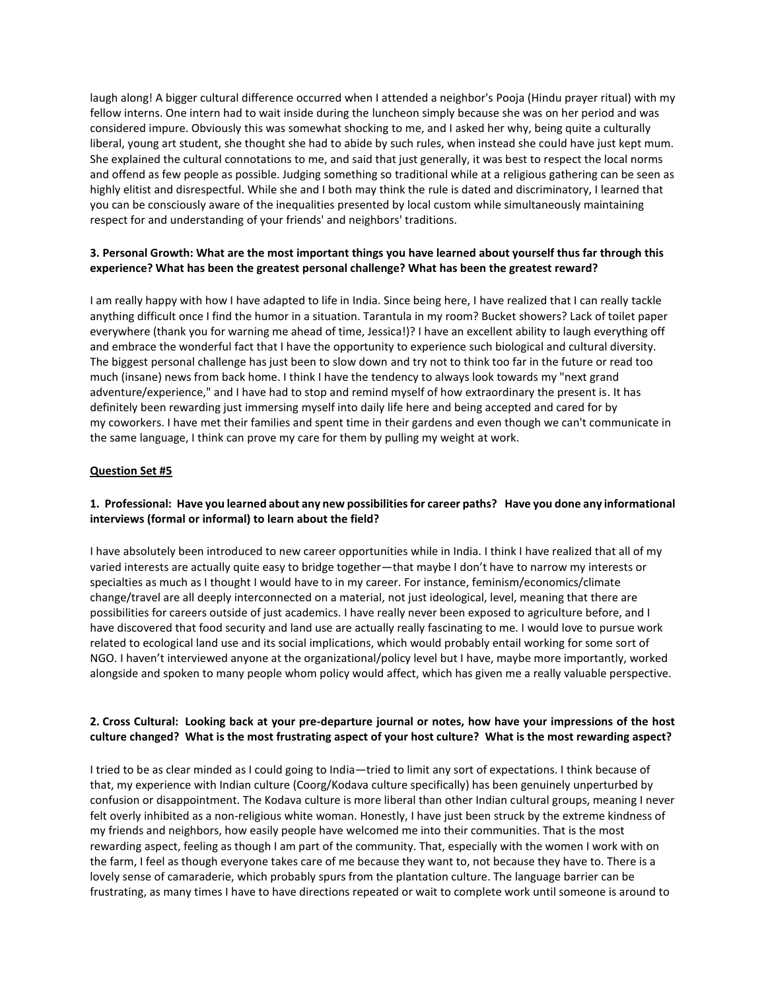laugh along! A bigger cultural difference occurred when I attended a neighbor's Pooja (Hindu prayer ritual) with my fellow interns. One intern had to wait inside during the luncheon simply because she was on her period and was considered impure. Obviously this was somewhat shocking to me, and I asked her why, being quite a culturally liberal, young art student, she thought she had to abide by such rules, when instead she could have just kept mum. She explained the cultural connotations to me, and said that just generally, it was best to respect the local norms and offend as few people as possible. Judging something so traditional while at a religious gathering can be seen as highly elitist and disrespectful. While she and I both may think the rule is dated and discriminatory, I learned that you can be consciously aware of the inequalities presented by local custom while simultaneously maintaining respect for and understanding of your friends' and neighbors' traditions.

# **3. Personal Growth: What are the most important things you have learned about yourself thus far through this experience? What has been the greatest personal challenge? What has been the greatest reward?**

I am really happy with how I have adapted to life in India. Since being here, I have realized that I can really tackle anything difficult once I find the humor in a situation. Tarantula in my room? Bucket showers? Lack of toilet paper everywhere (thank you for warning me ahead of time, Jessica!)? I have an excellent ability to laugh everything off and embrace the wonderful fact that I have the opportunity to experience such biological and cultural diversity. The biggest personal challenge has just been to slow down and try not to think too far in the future or read too much (insane) news from back home. I think I have the tendency to always look towards my "next grand adventure/experience," and I have had to stop and remind myself of how extraordinary the present is. It has definitely been rewarding just immersing myself into daily life here and being accepted and cared for by my coworkers. I have met their families and spent time in their gardens and even though we can't communicate in the same language, I think can prove my care for them by pulling my weight at work.

#### **Question Set #5**

## **1. Professional: Have you learned about any new possibilities for career paths? Have you done any informational interviews (formal or informal) to learn about the field?**

I have absolutely been introduced to new career opportunities while in India. I think I have realized that all of my varied interests are actually quite easy to bridge together—that maybe I don't have to narrow my interests or specialties as much as I thought I would have to in my career. For instance, feminism/economics/climate change/travel are all deeply interconnected on a material, not just ideological, level, meaning that there are possibilities for careers outside of just academics. I have really never been exposed to agriculture before, and I have discovered that food security and land use are actually really fascinating to me. I would love to pursue work related to ecological land use and its social implications, which would probably entail working for some sort of NGO. I haven't interviewed anyone at the organizational/policy level but I have, maybe more importantly, worked alongside and spoken to many people whom policy would affect, which has given me a really valuable perspective.

## **2. Cross Cultural: Looking back at your pre-departure journal or notes, how have your impressions of the host culture changed? What is the most frustrating aspect of your host culture? What is the most rewarding aspect?**

I tried to be as clear minded as I could going to India—tried to limit any sort of expectations. I think because of that, my experience with Indian culture (Coorg/Kodava culture specifically) has been genuinely unperturbed by confusion or disappointment. The Kodava culture is more liberal than other Indian cultural groups, meaning I never felt overly inhibited as a non-religious white woman. Honestly, I have just been struck by the extreme kindness of my friends and neighbors, how easily people have welcomed me into their communities. That is the most rewarding aspect, feeling as though I am part of the community. That, especially with the women I work with on the farm, I feel as though everyone takes care of me because they want to, not because they have to. There is a lovely sense of camaraderie, which probably spurs from the plantation culture. The language barrier can be frustrating, as many times I have to have directions repeated or wait to complete work until someone is around to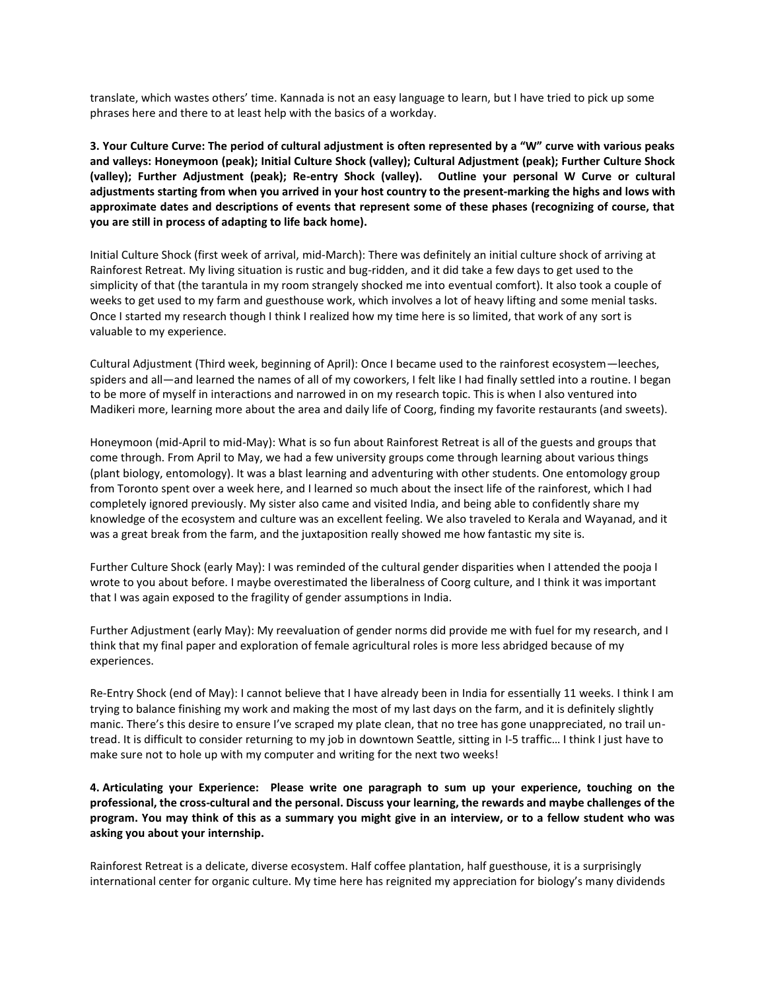translate, which wastes others' time. Kannada is not an easy language to learn, but I have tried to pick up some phrases here and there to at least help with the basics of a workday.

**3. Your Culture Curve: The period of cultural adjustment is often represented by a "W" curve with various peaks and valleys: Honeymoon (peak); Initial Culture Shock (valley); Cultural Adjustment (peak); Further Culture Shock (valley); Further Adjustment (peak); Re-entry Shock (valley). Outline your personal W Curve or cultural adjustments starting from when you arrived in your host country to the present-marking the highs and lows with approximate dates and descriptions of events that represent some of these phases (recognizing of course, that you are still in process of adapting to life back home).**

Initial Culture Shock (first week of arrival, mid-March): There was definitely an initial culture shock of arriving at Rainforest Retreat. My living situation is rustic and bug-ridden, and it did take a few days to get used to the simplicity of that (the tarantula in my room strangely shocked me into eventual comfort). It also took a couple of weeks to get used to my farm and guesthouse work, which involves a lot of heavy lifting and some menial tasks. Once I started my research though I think I realized how my time here is so limited, that work of any sort is valuable to my experience.

Cultural Adjustment (Third week, beginning of April): Once I became used to the rainforest ecosystem—leeches, spiders and all—and learned the names of all of my coworkers, I felt like I had finally settled into a routine. I began to be more of myself in interactions and narrowed in on my research topic. This is when I also ventured into Madikeri more, learning more about the area and daily life of Coorg, finding my favorite restaurants (and sweets).

Honeymoon (mid-April to mid-May): What is so fun about Rainforest Retreat is all of the guests and groups that come through. From April to May, we had a few university groups come through learning about various things (plant biology, entomology). It was a blast learning and adventuring with other students. One entomology group from Toronto spent over a week here, and I learned so much about the insect life of the rainforest, which I had completely ignored previously. My sister also came and visited India, and being able to confidently share my knowledge of the ecosystem and culture was an excellent feeling. We also traveled to Kerala and Wayanad, and it was a great break from the farm, and the juxtaposition really showed me how fantastic my site is.

Further Culture Shock (early May): I was reminded of the cultural gender disparities when I attended the pooja I wrote to you about before. I maybe overestimated the liberalness of Coorg culture, and I think it was important that I was again exposed to the fragility of gender assumptions in India.

Further Adjustment (early May): My reevaluation of gender norms did provide me with fuel for my research, and I think that my final paper and exploration of female agricultural roles is more less abridged because of my experiences.

Re-Entry Shock (end of May): I cannot believe that I have already been in India for essentially 11 weeks. I think I am trying to balance finishing my work and making the most of my last days on the farm, and it is definitely slightly manic. There's this desire to ensure I've scraped my plate clean, that no tree has gone unappreciated, no trail untread. It is difficult to consider returning to my job in downtown Seattle, sitting in I-5 traffic… I think I just have to make sure not to hole up with my computer and writing for the next two weeks!

**4. Articulating your Experience: Please write one paragraph to sum up your experience, touching on the professional, the cross-cultural and the personal. Discuss your learning, the rewards and maybe challenges of the program. You may think of this as a summary you might give in an interview, or to a fellow student who was asking you about your internship.**

Rainforest Retreat is a delicate, diverse ecosystem. Half coffee plantation, half guesthouse, it is a surprisingly international center for organic culture. My time here has reignited my appreciation for biology's many dividends